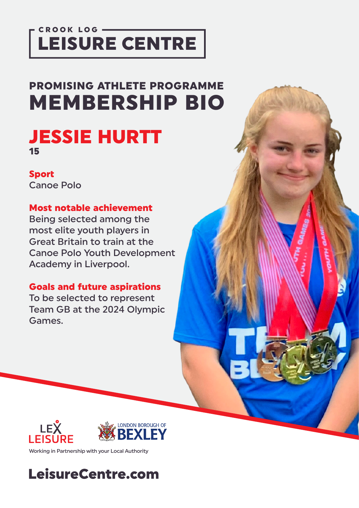### CROOK LOG -LEISURE CENTRE

## PROMISING ATHLETE PROGRAMME MEMBERSHIP BIO

## JESSIE HURTT 15

#### Sport

Canoe Polo

#### Most notable achievement

Being selected among the most elite youth players in Great Britain to train at the Canoe Polo Youth Development Academy in Liverpool.

#### Goals and future aspirations

To be selected to represent Team GB at the 2024 Olympic Games.



Working in Partnership with your Local Authority